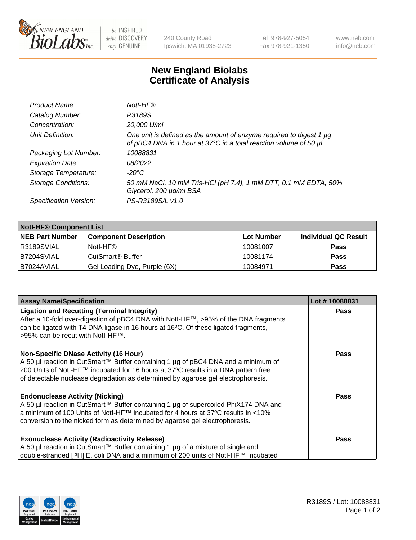

be INSPIRED drive DISCOVERY stay GENUINE

240 County Road Ipswich, MA 01938-2723 Tel 978-927-5054 Fax 978-921-1350 www.neb.com info@neb.com

## **New England Biolabs Certificate of Analysis**

| Product Name:              | Notl-HF®                                                                                                                                  |
|----------------------------|-------------------------------------------------------------------------------------------------------------------------------------------|
| Catalog Number:            | R3189S                                                                                                                                    |
| Concentration:             | 20,000 U/ml                                                                                                                               |
| Unit Definition:           | One unit is defined as the amount of enzyme required to digest 1 µg<br>of pBC4 DNA in 1 hour at 37°C in a total reaction volume of 50 µl. |
| Packaging Lot Number:      | 10088831                                                                                                                                  |
| <b>Expiration Date:</b>    | 08/2022                                                                                                                                   |
| Storage Temperature:       | $-20^{\circ}$ C                                                                                                                           |
| <b>Storage Conditions:</b> | 50 mM NaCl, 10 mM Tris-HCl (pH 7.4), 1 mM DTT, 0.1 mM EDTA, 50%<br>Glycerol, 200 µg/ml BSA                                                |
| Specification Version:     | PS-R3189S/L v1.0                                                                                                                          |

| <b>Notl-HF® Component List</b> |                              |            |                      |  |  |
|--------------------------------|------------------------------|------------|----------------------|--|--|
| <b>NEB Part Number</b>         | <b>Component Description</b> | Lot Number | Individual QC Result |  |  |
| R3189SVIAL                     | Notl-HF®                     | 10081007   | <b>Pass</b>          |  |  |
| B7204SVIAL                     | CutSmart <sup>®</sup> Buffer | 10081174   | <b>Pass</b>          |  |  |
| B7024AVIAL                     | Gel Loading Dye, Purple (6X) | 10084971   | <b>Pass</b>          |  |  |

| <b>Assay Name/Specification</b>                                                                                                                                           | Lot #10088831 |
|---------------------------------------------------------------------------------------------------------------------------------------------------------------------------|---------------|
| <b>Ligation and Recutting (Terminal Integrity)</b>                                                                                                                        | <b>Pass</b>   |
| After a 10-fold over-digestion of pBC4 DNA with Notl-HF™, >95% of the DNA fragments<br>can be ligated with T4 DNA ligase in 16 hours at 16°C. Of these ligated fragments, |               |
| >95% can be recut with Notl-HF™.                                                                                                                                          |               |
|                                                                                                                                                                           |               |
| <b>Non-Specific DNase Activity (16 Hour)</b>                                                                                                                              | <b>Pass</b>   |
| A 50 µl reaction in CutSmart™ Buffer containing 1 µg of pBC4 DNA and a minimum of                                                                                         |               |
| 200 Units of Notl-HF™ incubated for 16 hours at 37°C results in a DNA pattern free<br>of detectable nuclease degradation as determined by agarose gel electrophoresis.    |               |
|                                                                                                                                                                           |               |
| <b>Endonuclease Activity (Nicking)</b>                                                                                                                                    | <b>Pass</b>   |
| A 50 µl reaction in CutSmart™ Buffer containing 1 µg of supercoiled PhiX174 DNA and                                                                                       |               |
| a minimum of 100 Units of Notl-HF™ incubated for 4 hours at 37°C results in <10%                                                                                          |               |
| conversion to the nicked form as determined by agarose gel electrophoresis.                                                                                               |               |
|                                                                                                                                                                           | <b>Pass</b>   |
| <b>Exonuclease Activity (Radioactivity Release)</b><br>A 50 µl reaction in CutSmart™ Buffer containing 1 µg of a mixture of single and                                    |               |
| double-stranded [3H] E. coli DNA and a minimum of 200 units of Notl-HF™ incubated                                                                                         |               |